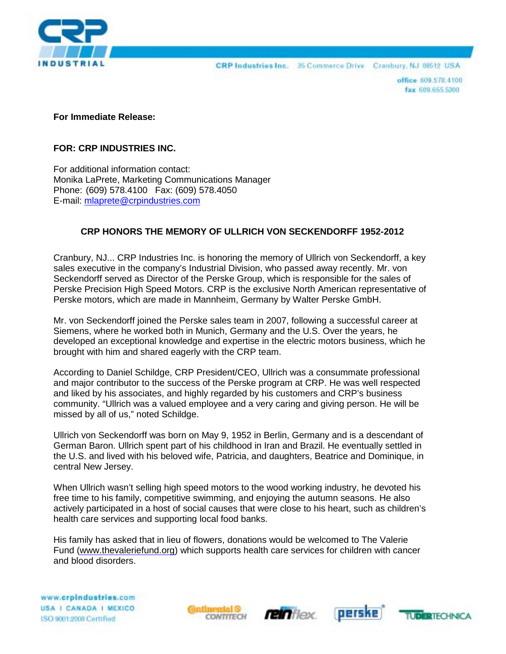

CRP Industries Inc. 35 Commerce Drive Cranbury, NJ 08512 USA

office 609,578,4100 fax 609.655.5300

**For Immediate Release:**

## **FOR: CRP INDUSTRIES INC.**

For additional information contact: Monika LaPrete, Marketing Communications Manager Phone: (609) 578.4100 Fax: (609) 578.4050 E-mail: [mlaprete@crpindustries.com](mailto:mlaprete@crpindustries.com)

## **CRP HONORS THE MEMORY OF ULLRICH VON SECKENDORFF 1952-2012**

Cranbury, NJ... CRP Industries Inc. is honoring the memory of Ullrich von Seckendorff, a key sales executive in the company's Industrial Division, who passed away recently. Mr. von Seckendorff served as Director of the Perske Group, which is responsible for the sales of Perske Precision High Speed Motors. CRP is the exclusive North American representative of Perske motors, which are made in Mannheim, Germany by Walter Perske GmbH.

Mr. von Seckendorff joined the Perske sales team in 2007, following a successful career at Siemens, where he worked both in Munich, Germany and the U.S. Over the years, he developed an exceptional knowledge and expertise in the electric motors business, which he brought with him and shared eagerly with the CRP team.

According to Daniel Schildge, CRP President/CEO, Ullrich was a consummate professional and major contributor to the success of the Perske program at CRP. He was well respected and liked by his associates, and highly regarded by his customers and CRP's business community. "Ullrich was a valued employee and a very caring and giving person. He will be missed by all of us," noted Schildge.

Ullrich von Seckendorff was born on May 9, 1952 in Berlin, Germany and is a descendant of German Baron. Ullrich spent part of his childhood in Iran and Brazil. He eventually settled in the U.S. and lived with his beloved wife, Patricia, and daughters, Beatrice and Dominique, in central New Jersey.

When Ullrich wasn't selling high speed motors to the wood working industry, he devoted his free time to his family, competitive swimming, and enjoying the autumn seasons. He also actively participated in a host of social causes that were close to his heart, such as children's health care services and supporting local food banks.

His family has asked that in lieu of flowers, donations would be welcomed to The Valerie Fund [\(www.thevaleriefund.org\)](http://www.thevaleriefund.org/) which supports health care services for children with cancer and blood disorders.